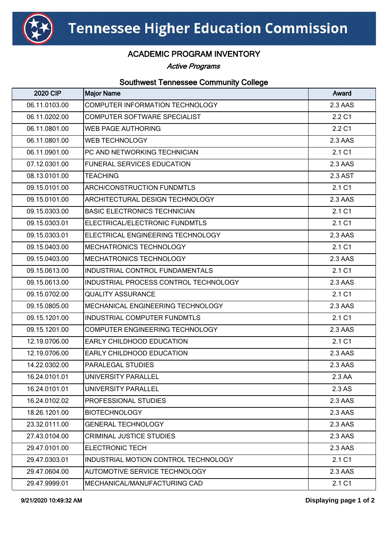

## ACADEMIC PROGRAM INVENTORY

Active Programs

## Southwest Tennessee Community College

| <b>2020 CIP</b> | <b>Major Name</b>                     | Award   |
|-----------------|---------------------------------------|---------|
| 06.11.0103.00   | COMPUTER INFORMATION TECHNOLOGY       | 2.3 AAS |
| 06.11.0202.00   | COMPUTER SOFTWARE SPECIALIST          | 2.2 C1  |
| 06.11.0801.00   | <b>WEB PAGE AUTHORING</b>             | 2.2 C1  |
| 06.11.0801.00   | <b>WEB TECHNOLOGY</b>                 | 2.3 AAS |
| 06.11.0901.00   | PC AND NETWORKING TECHNICIAN          | 2.1 C1  |
| 07.12.0301.00   | <b>FUNERAL SERVICES EDUCATION</b>     | 2.3 AAS |
| 08.13.0101.00   | <b>TEACHING</b>                       | 2.3 AST |
| 09.15.0101.00   | <b>ARCH/CONSTRUCTION FUNDMTLS</b>     | 2.1 C1  |
| 09.15.0101.00   | ARCHITECTURAL DESIGN TECHNOLOGY       | 2.3 AAS |
| 09.15.0303.00   | <b>BASIC ELECTRONICS TECHNICIAN</b>   | 2.1 C1  |
| 09.15.0303.01   | ELECTRICAL/ELECTRONIC FUNDMTLS        | 2.1 C1  |
| 09.15.0303.01   | ELECTRICAL ENGINEERING TECHNOLOGY     | 2.3 AAS |
| 09.15.0403.00   | <b>MECHATRONICS TECHNOLOGY</b>        | 2.1 C1  |
| 09.15.0403.00   | MECHATRONICS TECHNOLOGY               | 2.3 AAS |
| 09.15.0613.00   | IINDUSTRIAL CONTROL FUNDAMENTALS      | 2.1 C1  |
| 09.15.0613.00   | INDUSTRIAL PROCESS CONTROL TECHNOLOGY | 2.3 AAS |
| 09.15.0702.00   | <b>QUALITY ASSURANCE</b>              | 2.1 C1  |
| 09.15.0805.00   | MECHANICAL ENGINEERING TECHNOLOGY     | 2.3 AAS |
| 09.15.1201.00   | IINDUSTRIAL COMPUTER FUNDMTLS         | 2.1 C1  |
| 09.15.1201.00   | COMPUTER ENGINEERING TECHNOLOGY       | 2.3 AAS |
| 12.19.0706.00   | EARLY CHILDHOOD EDUCATION             | 2.1 C1  |
| 12.19.0706.00   | <b>EARLY CHILDHOOD EDUCATION</b>      | 2.3 AAS |
| 14.22.0302.00   | <b>PARALEGAL STUDIES</b>              | 2.3 AAS |
| 16.24.0101.01   | UNIVERSITY PARALLEL                   | 2.3 AA  |
| 16.24.0101.01   | UNIVERSITY PARALLEL                   | 2.3 AS  |
| 16.24.0102.02   | <b>PROFESSIONAL STUDIES</b>           | 2.3 AAS |
| 18.26.1201.00   | <b>BIOTECHNOLOGY</b>                  | 2.3 AAS |
| 23.32.0111.00   | <b>GENERAL TECHNOLOGY</b>             | 2.3 AAS |
| 27.43.0104.00   | <b>CRIMINAL JUSTICE STUDIES</b>       | 2.3 AAS |
| 29.47.0101.00   | <b>ELECTRONIC TECH</b>                | 2.3 AAS |
| 29.47.0303.01   | INDUSTRIAL MOTION CONTROL TECHNOLOGY  | 2.1 C1  |
| 29.47.0604.00   | AUTOMOTIVE SERVICE TECHNOLOGY         | 2.3 AAS |
| 29.47.9999.01   | MECHANICAL/MANUFACTURING CAD          | 2.1 C1  |

9/21/2020 10:49:32 AM **Displaying page 1 of 2**